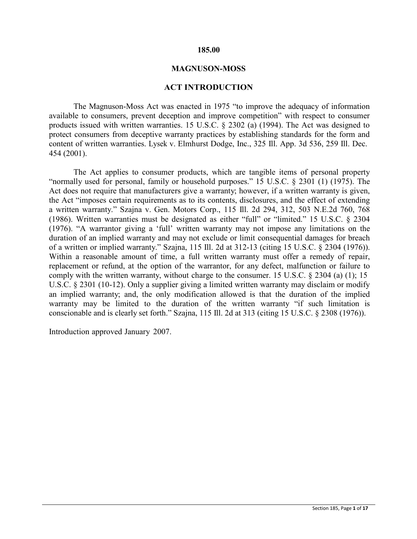#### **185.00**

#### **MAGNUSON-MOSS**

#### **ACT INTRODUCTION**

The Magnuson-Moss Act was enacted in 1975 "to improve the adequacy of information available to consumers, prevent deception and improve competition" with respect to consumer products issued with written warranties. 15 U.S.C. § 2302 (a) (1994). The Act was designed to protect consumers from deceptive warranty practices by establishing standards for the form and content of written warranties. Lysek v. Elmhurst Dodge, Inc., 325 Ill. App. 3d 536, 259 Ill. Dec. 454 (2001).

The Act applies to consumer products, which are tangible items of personal property "normally used for personal, family or household purposes." 15 U.S.C. § 2301 (1) (1975). The Act does not require that manufacturers give a warranty; however, if a written warranty is given, the Act "imposes certain requirements as to its contents, disclosures, and the effect of extending a written warranty." Szajna v. Gen. Motors Corp., 115 Ill. 2d 294, 312, 503 N.E.2d 760, 768 (1986). Written warranties must be designated as either "full" or "limited." 15 U.S.C. § 2304 (1976). "A warrantor giving a 'full' written warranty may not impose any limitations on the duration of an implied warranty and may not exclude or limit consequential damages for breach of a written or implied warranty." Szajna, 115 Ill. 2d at 312-13 (citing 15 U.S.C. § 2304 (1976)). Within a reasonable amount of time, a full written warranty must offer a remedy of repair, replacement or refund, at the option of the warrantor, for any defect, malfunction or failure to comply with the written warranty, without charge to the consumer. 15 U.S.C. § 2304 (a) (1); 15 U.S.C. § 2301 (10-12). Only a supplier giving a limited written warranty may disclaim or modify an implied warranty; and, the only modification allowed is that the duration of the implied warranty may be limited to the duration of the written warranty "if such limitation is conscionable and is clearly set forth." Szajna, 115 Ill. 2d at 313 (citing 15 U.S.C. § 2308 (1976)).

Introduction approved January 2007.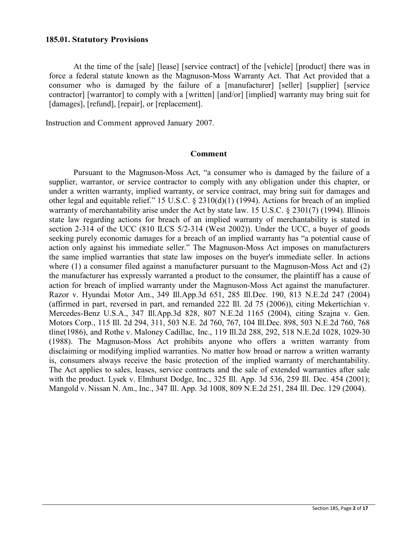#### **185.01. Statutory Provisions**

At the time of the [sale] [lease] [service contract] of the [vehicle] [product] there was in force a federal statute known as the Magnuson-Moss Warranty Act. That Act provided that a consumer who is damaged by the failure of a [manufacturer] [seller] [supplier] [service contractor] [warrantor] to comply with a [written] [and/or] [implied] warranty may bring suit for [damages], [refund], [repair], or [replacement].

Instruction and Comment approved January 2007.

#### **Comment**

Pursuant to the Magnuson-Moss Act, "a consumer who is damaged by the failure of a supplier, warrantor, or service contractor to comply with any obligation under this chapter, or under a written warranty, implied warranty, or service contract, may bring suit for damages and other legal and equitable relief." 15 U.S.C. § 2310(d)(1) (1994). Actions for breach of an implied warranty of merchantability arise under the Act by state law. 15 U.S.C. § 2301(7) (1994). Illinois state law regarding actions for breach of an implied warranty of merchantability is stated in section 2-314 of the UCC (810 ILCS 5/2-314 (West 2002)). Under the UCC, a buyer of goods seeking purely economic damages for a breach of an implied warranty has "a potential cause of action only against his immediate seller." The Magnuson-Moss Act imposes on manufacturers the same implied warranties that state law imposes on the buyer's immediate seller. In actions where (1) a consumer filed against a manufacturer pursuant to the Magnuson-Moss Act and (2) the manufacturer has expressly warranted a product to the consumer, the plaintiff has a cause of action for breach of implied warranty under the Magnuson-Moss Act against the manufacturer. Razor v. Hyundai Motor Am., 349 Ill.App.3d 651, 285 Ill.Dec. 190, 813 N.E.2d 247 (2004) (affirmed in part, reversed in part, and remanded 222 Ill. 2d 75 (2006)), citing Mekertichian v. Mercedes-Benz U.S.A., 347 Ill.App.3d 828, 807 N.E.2d 1165 (2004), citing Szajna v. Gen. Motors Corp., 115 Ill. 2d 294, 311, 503 N.E. 2d 760, 767, 104 Ill.Dec. 898, 503 N.E.2d 760, 768 tline(1986), and Rothe v. Maloney Cadillac, Inc., 119 Ill.2d 288, 292, 518 N.E.2d 1028, 1029-30 (1988). The Magnuson-Moss Act prohibits anyone who offers a written warranty from disclaiming or modifying implied warranties. No matter how broad or narrow a written warranty is, consumers always receive the basic protection of the implied warranty of merchantability. The Act applies to sales, leases, service contracts and the sale of extended warranties after sale with the product. Lysek v. Elmhurst Dodge, Inc., 325 Ill. App. 3d 536, 259 Ill. Dec. 454 (2001); Mangold v. Nissan N. Am., Inc., 347 Ill. App. 3d 1008, 809 N.E.2d 251, 284 Ill. Dec. 129 (2004).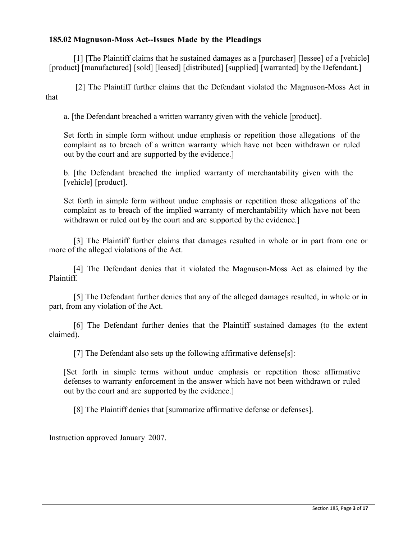# **185.02 Magnuson-Moss Act--Issues Made by the Pleadings**

[1] [The Plaintiff claims that he sustained damages as a [purchaser] [lessee] of a [vehicle] [product] [manufactured] [sold] [leased] [distributed] [supplied] [warranted] by the Defendant.]

[2] The Plaintiff further claims that the Defendant violated the Magnuson-Moss Act in that

a. [the Defendant breached a written warranty given with the vehicle [product].

Set forth in simple form without undue emphasis or repetition those allegations of the complaint as to breach of a written warranty which have not been withdrawn or ruled out by the court and are supported by the evidence.]

b. [the Defendant breached the implied warranty of merchantability given with the [vehicle] [product].

Set forth in simple form without undue emphasis or repetition those allegations of the complaint as to breach of the implied warranty of merchantability which have not been withdrawn or ruled out by the court and are supported by the evidence.]

[3] The Plaintiff further claims that damages resulted in whole or in part from one or more of the alleged violations of the Act.

[4] The Defendant denies that it violated the Magnuson-Moss Act as claimed by the Plaintiff.

[5] The Defendant further denies that any of the alleged damages resulted, in whole or in part, from any violation of the Act.

[6] The Defendant further denies that the Plaintiff sustained damages (to the extent claimed).

[7] The Defendant also sets up the following affirmative defense[s]:

[Set forth in simple terms without undue emphasis or repetition those affirmative defenses to warranty enforcement in the answer which have not been withdrawn or ruled out by the court and are supported by the evidence.]

[8] The Plaintiff denies that [summarize affirmative defense or defenses].

Instruction approved January 2007.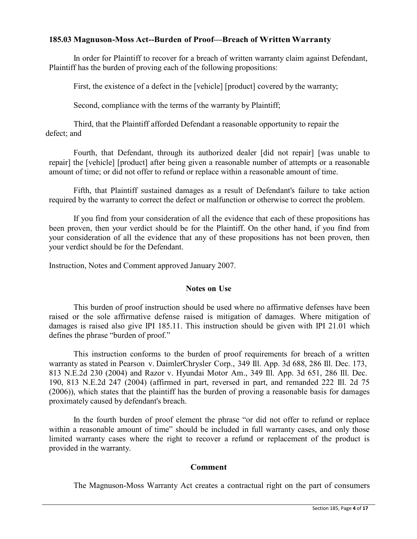## **185.03 Magnuson-Moss Act--Burden of Proof—Breach of WrittenWarranty**

In order for Plaintiff to recover for a breach of written warranty claim against Defendant, Plaintiff has the burden of proving each of the following propositions:

First, the existence of a defect in the [vehicle] [product] covered by the warranty;

Second, compliance with the terms of the warranty by Plaintiff;

Third, that the Plaintiff afforded Defendant a reasonable opportunity to repair the defect; and

Fourth, that Defendant, through its authorized dealer [did not repair] [was unable to repair] the [vehicle] [product] after being given a reasonable number of attempts or a reasonable amount of time; or did not offer to refund or replace within a reasonable amount of time.

Fifth, that Plaintiff sustained damages as a result of Defendant's failure to take action required by the warranty to correct the defect or malfunction or otherwise to correct the problem.

If you find from your consideration of all the evidence that each of these propositions has been proven, then your verdict should be for the Plaintiff. On the other hand, if you find from your consideration of all the evidence that any of these propositions has not been proven, then your verdict should be for the Defendant.

Instruction, Notes and Comment approved January 2007.

### **Notes on Use**

This burden of proof instruction should be used where no affirmative defenses have been raised or the sole affirmative defense raised is mitigation of damages. Where mitigation of damages is raised also give IPI 185.11. This instruction should be given with IPI 21.01 which defines the phrase "burden of proof."

This instruction conforms to the burden of proof requirements for breach of a written warranty as stated in Pearson v. DaimlerChrysler Corp., 349 Ill. App. 3d 688, 286 Ill. Dec. 173, 813 N.E.2d 230 (2004) and Razor v. Hyundai Motor Am., 349 Ill. App. 3d 651, 286 Ill. Dec. 190, 813 N.E.2d 247 (2004) (affirmed in part, reversed in part, and remanded 222 Ill. 2d 75 (2006)), which states that the plaintiff has the burden of proving a reasonable basis for damages proximately caused by defendant's breach.

In the fourth burden of proof element the phrase "or did not offer to refund or replace within a reasonable amount of time" should be included in full warranty cases, and only those limited warranty cases where the right to recover a refund or replacement of the product is provided in the warranty.

### **Comment**

The Magnuson-Moss Warranty Act creates a contractual right on the part of consumers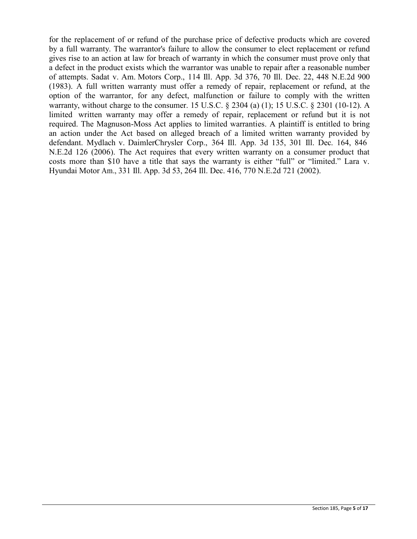for the replacement of or refund of the purchase price of defective products which are covered by a full warranty. The warrantor's failure to allow the consumer to elect replacement or refund gives rise to an action at law for breach of warranty in which the consumer must prove only that a defect in the product exists which the warrantor was unable to repair after a reasonable number of attempts. Sadat v. Am. Motors Corp., 114 Ill. App. 3d 376, 70 Ill. Dec. 22, 448 N.E.2d 900 (1983). A full written warranty must offer a remedy of repair, replacement or refund, at the option of the warrantor, for any defect, malfunction or failure to comply with the written warranty, without charge to the consumer. 15 U.S.C. § 2304 (a) (1); 15 U.S.C. § 2301 (10-12). A limited written warranty may offer a remedy of repair, replacement or refund but it is not required. The Magnuson-Moss Act applies to limited warranties. A plaintiff is entitled to bring an action under the Act based on alleged breach of a limited written warranty provided by defendant. Mydlach v. DaimlerChrysler Corp., 364 Ill. App. 3d 135, 301 Ill. Dec. 164, 846 N.E.2d 126 (2006). The Act requires that every written warranty on a consumer product that costs more than \$10 have a title that says the warranty is either "full" or "limited." Lara v. Hyundai Motor Am., 331 Ill. App. 3d 53, 264 Ill. Dec. 416, 770 N.E.2d 721 (2002).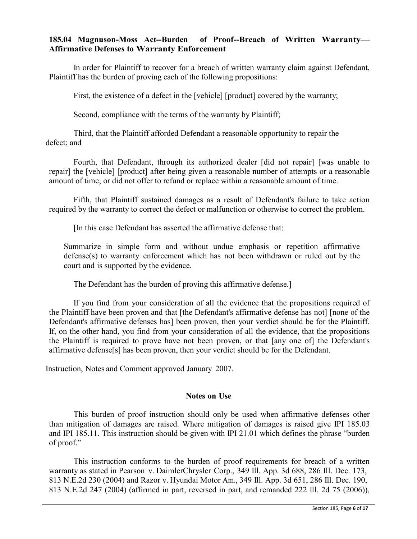## **185.04 Magnuson-Moss Act--Burden of Proof--Breach of Written Warranty— Affirmative Defenses to Warranty Enforcement**

In order for Plaintiff to recover for a breach of written warranty claim against Defendant, Plaintiff has the burden of proving each of the following propositions:

First, the existence of a defect in the [vehicle] [product] covered by the warranty;

Second, compliance with the terms of the warranty by Plaintiff;

Third, that the Plaintiff afforded Defendant a reasonable opportunity to repair the defect; and

Fourth, that Defendant, through its authorized dealer [did not repair] [was unable to repair] the [vehicle] [product] after being given a reasonable number of attempts or a reasonable amount of time; or did not offer to refund or replace within a reasonable amount of time.

Fifth, that Plaintiff sustained damages as a result of Defendant's failure to take action required by the warranty to correct the defect or malfunction or otherwise to correct the problem.

[In this case Defendant has asserted the affirmative defense that:

Summarize in simple form and without undue emphasis or repetition affirmative defense(s) to warranty enforcement which has not been withdrawn or ruled out by the court and is supported by the evidence.

The Defendant has the burden of proving this affirmative defense.]

If you find from your consideration of all the evidence that the propositions required of the Plaintiff have been proven and that [the Defendant's affirmative defense has not] [none of the Defendant's affirmative defenses has] been proven, then your verdict should be for the Plaintiff. If, on the other hand, you find from your consideration of all the evidence, that the propositions the Plaintiff is required to prove have not been proven, or that [any one of] the Defendant's affirmative defense[s] has been proven, then your verdict should be for the Defendant.

Instruction, Notes and Comment approved January 2007.

### **Notes on Use**

This burden of proof instruction should only be used when affirmative defenses other than mitigation of damages are raised. Where mitigation of damages is raised give IPI 185.03 and IPI 185.11. This instruction should be given with IPI 21.01 which defines the phrase "burden of proof."

This instruction conforms to the burden of proof requirements for breach of a written warranty as stated in Pearson v. DaimlerChrysler Corp., 349 Ill. App. 3d 688, 286 Ill. Dec. 173, 813 N.E.2d 230 (2004) and Razor v. Hyundai Motor Am., 349 Ill. App. 3d 651, 286 Ill. Dec. 190, 813 N.E.2d 247 (2004) (affirmed in part, reversed in part, and remanded 222 Ill. 2d 75 (2006)),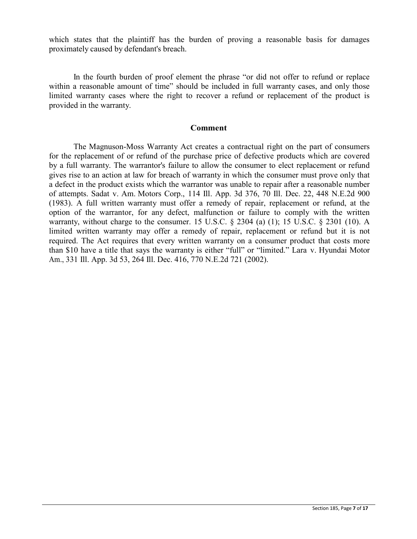which states that the plaintiff has the burden of proving a reasonable basis for damages proximately caused by defendant's breach.

In the fourth burden of proof element the phrase "or did not offer to refund or replace within a reasonable amount of time" should be included in full warranty cases, and only those limited warranty cases where the right to recover a refund or replacement of the product is provided in the warranty.

#### **Comment**

The Magnuson-Moss Warranty Act creates a contractual right on the part of consumers for the replacement of or refund of the purchase price of defective products which are covered by a full warranty. The warrantor's failure to allow the consumer to elect replacement or refund gives rise to an action at law for breach of warranty in which the consumer must prove only that a defect in the product exists which the warrantor was unable to repair after a reasonable number of attempts. Sadat v. Am. Motors Corp., 114 Ill. App. 3d 376, 70 Ill. Dec. 22, 448 N.E.2d 900 (1983). A full written warranty must offer a remedy of repair, replacement or refund, at the option of the warrantor, for any defect, malfunction or failure to comply with the written warranty, without charge to the consumer. 15 U.S.C. § 2304 (a) (1); 15 U.S.C. § 2301 (10). A limited written warranty may offer a remedy of repair, replacement or refund but it is not required. The Act requires that every written warranty on a consumer product that costs more than \$10 have a title that says the warranty is either "full" or "limited." Lara v. Hyundai Motor Am., 331 Ill. App. 3d 53, 264 Ill. Dec. 416, 770 N.E.2d 721 (2002).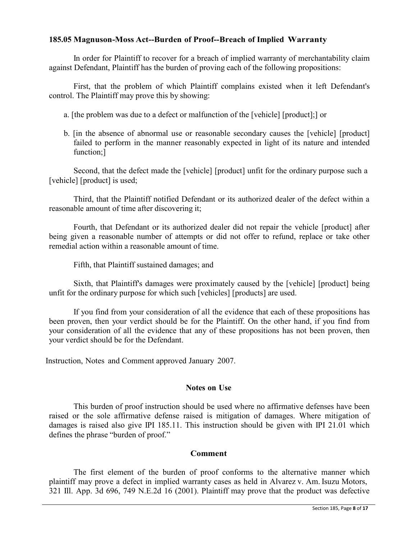## **185.05 Magnuson-Moss Act--Burden of Proof--Breach of Implied Warranty**

In order for Plaintiff to recover for a breach of implied warranty of merchantability claim against Defendant, Plaintiff has the burden of proving each of the following propositions:

First, that the problem of which Plaintiff complains existed when it left Defendant's control. The Plaintiff may prove this by showing:

- a. [the problem was due to a defect or malfunction of the [vehicle] [product];] or
- b. [in the absence of abnormal use or reasonable secondary causes the [vehicle] [product] failed to perform in the manner reasonably expected in light of its nature and intended function;

Second, that the defect made the [vehicle] [product] unfit for the ordinary purpose such a [vehicle] [product] is used;

Third, that the Plaintiff notified Defendant or its authorized dealer of the defect within a reasonable amount of time after discovering it;

Fourth, that Defendant or its authorized dealer did not repair the vehicle [product] after being given a reasonable number of attempts or did not offer to refund, replace or take other remedial action within a reasonable amount of time.

Fifth, that Plaintiff sustained damages; and

Sixth, that Plaintiff's damages were proximately caused by the [vehicle] [product] being unfit for the ordinary purpose for which such [vehicles] [products] are used.

If you find from your consideration of all the evidence that each of these propositions has been proven, then your verdict should be for the Plaintiff. On the other hand, if you find from your consideration of all the evidence that any of these propositions has not been proven, then your verdict should be for the Defendant.

Instruction, Notes and Comment approved January 2007.

### **Notes on Use**

This burden of proof instruction should be used where no affirmative defenses have been raised or the sole affirmative defense raised is mitigation of damages. Where mitigation of damages is raised also give IPI 185.11. This instruction should be given with IPI 21.01 which defines the phrase "burden of proof."

### **Comment**

The first element of the burden of proof conforms to the alternative manner which plaintiff may prove a defect in implied warranty cases as held in Alvarez v. Am. Isuzu Motors, 321 Ill. App. 3d 696, 749 N.E.2d 16 (2001). Plaintiff may prove that the product was defective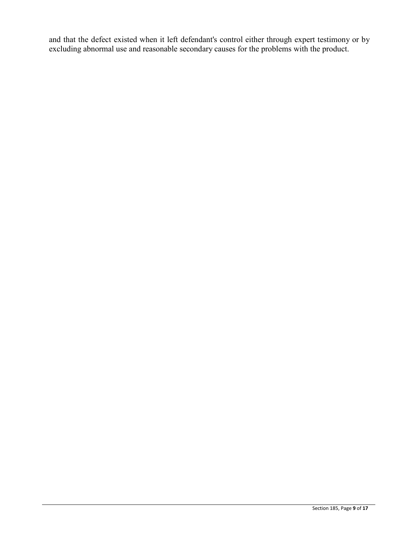and that the defect existed when it left defendant's control either through expert testimony or by excluding abnormal use and reasonable secondary causes for the problems with the product.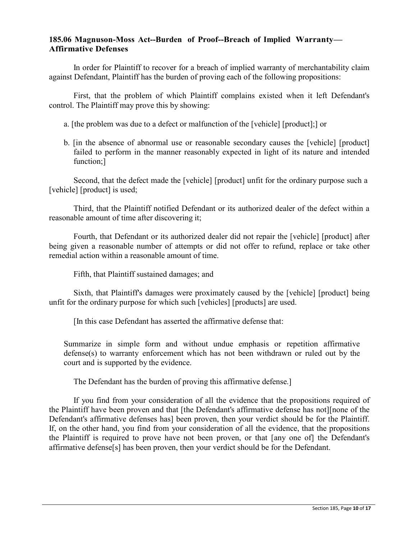### **185.06 Magnuson-Moss Act--Burden of Proof--Breach of Implied Warranty— Affirmative Defenses**

In order for Plaintiff to recover for a breach of implied warranty of merchantability claim against Defendant, Plaintiff has the burden of proving each of the following propositions:

First, that the problem of which Plaintiff complains existed when it left Defendant's control. The Plaintiff may prove this by showing:

- a. [the problem was due to a defect or malfunction of the [vehicle] [product];] or
- b. [in the absence of abnormal use or reasonable secondary causes the [vehicle] [product] failed to perform in the manner reasonably expected in light of its nature and intended function;1

Second, that the defect made the [vehicle] [product] unfit for the ordinary purpose such a [vehicle] [product] is used;

Third, that the Plaintiff notified Defendant or its authorized dealer of the defect within a reasonable amount of time after discovering it;

Fourth, that Defendant or its authorized dealer did not repair the [vehicle] [product] after being given a reasonable number of attempts or did not offer to refund, replace or take other remedial action within a reasonable amount of time.

Fifth, that Plaintiff sustained damages; and

Sixth, that Plaintiff's damages were proximately caused by the [vehicle] [product] being unfit for the ordinary purpose for which such [vehicles] [products] are used.

[In this case Defendant has asserted the affirmative defense that:

Summarize in simple form and without undue emphasis or repetition affirmative defense(s) to warranty enforcement which has not been withdrawn or ruled out by the court and is supported by the evidence.

The Defendant has the burden of proving this affirmative defense.]

If you find from your consideration of all the evidence that the propositions required of the Plaintiff have been proven and that [the Defendant's affirmative defense has not][none of the Defendant's affirmative defenses has] been proven, then your verdict should be for the Plaintiff. If, on the other hand, you find from your consideration of all the evidence, that the propositions the Plaintiff is required to prove have not been proven, or that [any one of] the Defendant's affirmative defense[s] has been proven, then your verdict should be for the Defendant.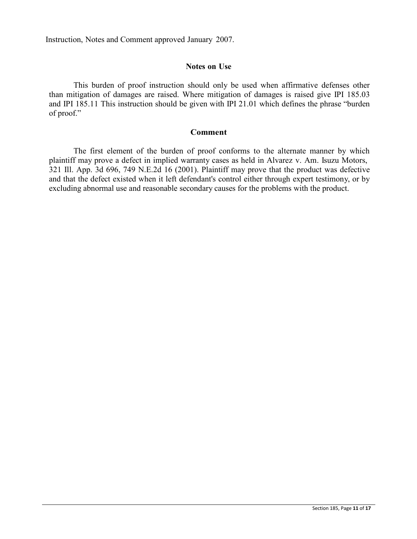Instruction, Notes and Comment approved January 2007.

#### **Notes on Use**

This burden of proof instruction should only be used when affirmative defenses other than mitigation of damages are raised. Where mitigation of damages is raised give IPI 185.03 and IPI 185.11 This instruction should be given with IPI 21.01 which defines the phrase "burden of proof."

#### **Comment**

The first element of the burden of proof conforms to the alternate manner by which plaintiff may prove a defect in implied warranty cases as held in Alvarez v. Am. Isuzu Motors, 321 Ill. App. 3d 696, 749 N.E.2d 16 (2001). Plaintiff may prove that the product was defective and that the defect existed when it left defendant's control either through expert testimony, or by excluding abnormal use and reasonable secondary causes for the problems with the product.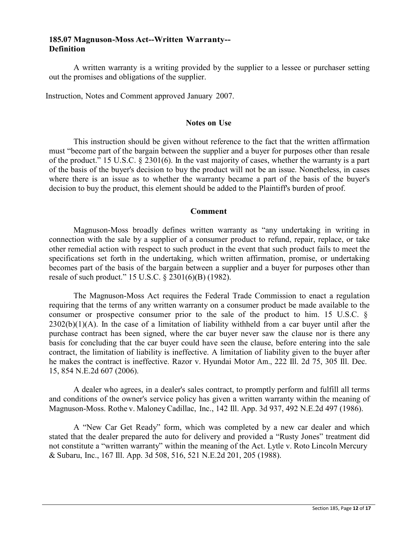### **185.07 Magnuson-Moss Act--Written Warranty-- Definition**

A written warranty is a writing provided by the supplier to a lessee or purchaser setting out the promises and obligations of the supplier.

Instruction, Notes and Comment approved January 2007.

#### **Notes on Use**

This instruction should be given without reference to the fact that the written affirmation must "become part of the bargain between the supplier and a buyer for purposes other than resale of the product." 15 U.S.C. § 2301(6). In the vast majority of cases, whether the warranty is a part of the basis of the buyer's decision to buy the product will not be an issue. Nonetheless, in cases where there is an issue as to whether the warranty became a part of the basis of the buyer's decision to buy the product, this element should be added to the Plaintiff's burden of proof.

### **Comment**

Magnuson-Moss broadly defines written warranty as "any undertaking in writing in connection with the sale by a supplier of a consumer product to refund, repair, replace, or take other remedial action with respect to such product in the event that such product fails to meet the specifications set forth in the undertaking, which written affirmation, promise, or undertaking becomes part of the basis of the bargain between a supplier and a buyer for purposes other than resale of such product." 15 U.S.C. § 2301(6)(B) (1982).

The Magnuson-Moss Act requires the Federal Trade Commission to enact a regulation requiring that the terms of any written warranty on a consumer product be made available to the consumer or prospective consumer prior to the sale of the product to him. 15 U.S.C. §  $2302(b)(1)(A)$ . In the case of a limitation of liability withheld from a car buyer until after the purchase contract has been signed, where the car buyer never saw the clause nor is there any basis for concluding that the car buyer could have seen the clause, before entering into the sale contract, the limitation of liability is ineffective. A limitation of liability given to the buyer after he makes the contract is ineffective. Razor v. Hyundai Motor Am., 222 Ill. 2d 75, 305 Ill. Dec. 15, 854 N.E.2d 607 (2006).

A dealer who agrees, in a dealer's sales contract, to promptly perform and fulfill all terms and conditions of the owner's service policy has given a written warranty within the meaning of Magnuson-Moss. Rothe v. Maloney Cadillac, Inc., 142 Ill. App. 3d 937, 492 N.E.2d 497 (1986).

A "New Car Get Ready" form, which was completed by a new car dealer and which stated that the dealer prepared the auto for delivery and provided a "Rusty Jones" treatment did not constitute a "written warranty" within the meaning of the Act. Lytle v. Roto Lincoln Mercury & Subaru, Inc., 167 Ill. App. 3d 508, 516, 521 N.E.2d 201, 205 (1988).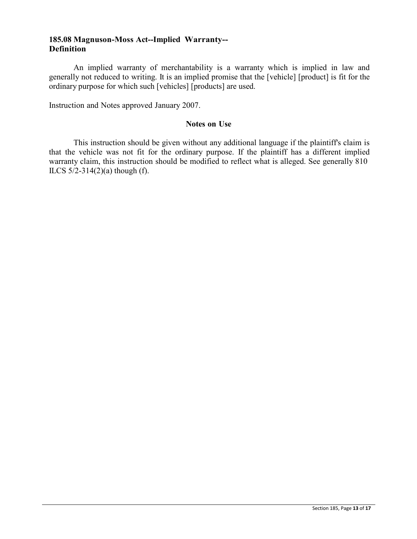### **185.08 Magnuson-Moss Act--Implied Warranty-- Definition**

An implied warranty of merchantability is a warranty which is implied in law and generally not reduced to writing. It is an implied promise that the [vehicle] [product] is fit for the ordinary purpose for which such [vehicles] [products] are used.

Instruction and Notes approved January 2007.

## **Notes on Use**

This instruction should be given without any additional language if the plaintiff's claim is that the vehicle was not fit for the ordinary purpose. If the plaintiff has a different implied warranty claim, this instruction should be modified to reflect what is alleged. See generally 810 ILCS  $5/2 - 314(2)(a)$  though (f).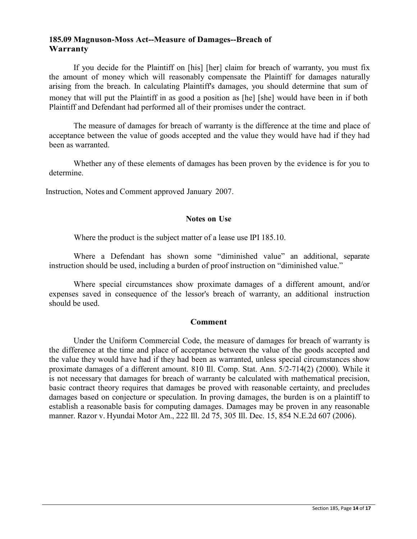### **185.09 Magnuson-Moss Act--Measure of Damages--Breach of Warranty**

If you decide for the Plaintiff on [his] [her] claim for breach of warranty, you must fix the amount of money which will reasonably compensate the Plaintiff for damages naturally arising from the breach. In calculating Plaintiff's damages, you should determine that sum of money that will put the Plaintiff in as good a position as [he] [she] would have been in if both Plaintiff and Defendant had performed all of their promises under the contract.

The measure of damages for breach of warranty is the difference at the time and place of acceptance between the value of goods accepted and the value they would have had if they had been as warranted.

Whether any of these elements of damages has been proven by the evidence is for you to determine.

Instruction, Notes and Comment approved January 2007.

### **Notes on Use**

Where the product is the subject matter of a lease use IPI 185.10.

Where a Defendant has shown some "diminished value" an additional, separate instruction should be used, including a burden of proof instruction on "diminished value."

Where special circumstances show proximate damages of a different amount, and/or expenses saved in consequence of the lessor's breach of warranty, an additional instruction should be used.

# **Comment**

Under the Uniform Commercial Code, the measure of damages for breach of warranty is the difference at the time and place of acceptance between the value of the goods accepted and the value they would have had if they had been as warranted, unless special circumstances show proximate damages of a different amount. 810 Ill. Comp. Stat. Ann. 5/2-714(2) (2000). While it is not necessary that damages for breach of warranty be calculated with mathematical precision, basic contract theory requires that damages be proved with reasonable certainty, and precludes damages based on conjecture or speculation. In proving damages, the burden is on a plaintiff to establish a reasonable basis for computing damages. Damages may be proven in any reasonable manner. Razor v. Hyundai Motor Am., 222 Ill. 2d 75, 305 Ill. Dec. 15, 854 N.E.2d 607 (2006).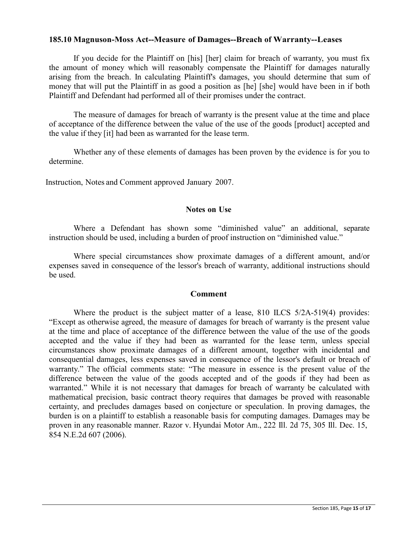### **185.10 Magnuson-Moss Act--Measure of Damages--Breach of Warranty--Leases**

If you decide for the Plaintiff on [his] [her] claim for breach of warranty, you must fix the amount of money which will reasonably compensate the Plaintiff for damages naturally arising from the breach. In calculating Plaintiff's damages, you should determine that sum of money that will put the Plaintiff in as good a position as [he] [she] would have been in if both Plaintiff and Defendant had performed all of their promises under the contract.

The measure of damages for breach of warranty is the present value at the time and place of acceptance of the difference between the value of the use of the goods [product] accepted and the value if they [it] had been as warranted for the lease term.

Whether any of these elements of damages has been proven by the evidence is for you to determine.

Instruction, Notes and Comment approved January 2007.

#### **Notes on Use**

Where a Defendant has shown some "diminished value" an additional, separate instruction should be used, including a burden of proof instruction on "diminished value."

Where special circumstances show proximate damages of a different amount, and/or expenses saved in consequence of the lessor's breach of warranty, additional instructions should be used.

#### **Comment**

Where the product is the subject matter of a lease, 810 ILCS 5/2A-519(4) provides: "Except as otherwise agreed, the measure of damages for breach of warranty is the present value at the time and place of acceptance of the difference between the value of the use of the goods accepted and the value if they had been as warranted for the lease term, unless special circumstances show proximate damages of a different amount, together with incidental and consequential damages, less expenses saved in consequence of the lessor's default or breach of warranty." The official comments state: "The measure in essence is the present value of the difference between the value of the goods accepted and of the goods if they had been as warranted." While it is not necessary that damages for breach of warranty be calculated with mathematical precision, basic contract theory requires that damages be proved with reasonable certainty, and precludes damages based on conjecture or speculation. In proving damages, the burden is on a plaintiff to establish a reasonable basis for computing damages. Damages may be proven in any reasonable manner. Razor v. Hyundai Motor Am., 222 Ill. 2d 75, 305 Ill. Dec. 15, 854 N.E.2d 607 (2006).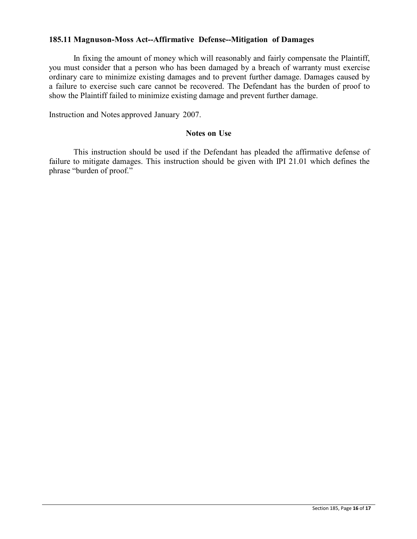## **185.11 Magnuson-Moss Act--Affirmative Defense--Mitigation of Damages**

In fixing the amount of money which will reasonably and fairly compensate the Plaintiff, you must consider that a person who has been damaged by a breach of warranty must exercise ordinary care to minimize existing damages and to prevent further damage. Damages caused by a failure to exercise such care cannot be recovered. The Defendant has the burden of proof to show the Plaintiff failed to minimize existing damage and prevent further damage.

Instruction and Notes approved January 2007.

#### **Notes on Use**

This instruction should be used if the Defendant has pleaded the affirmative defense of failure to mitigate damages. This instruction should be given with IPI 21.01 which defines the phrase "burden of proof."